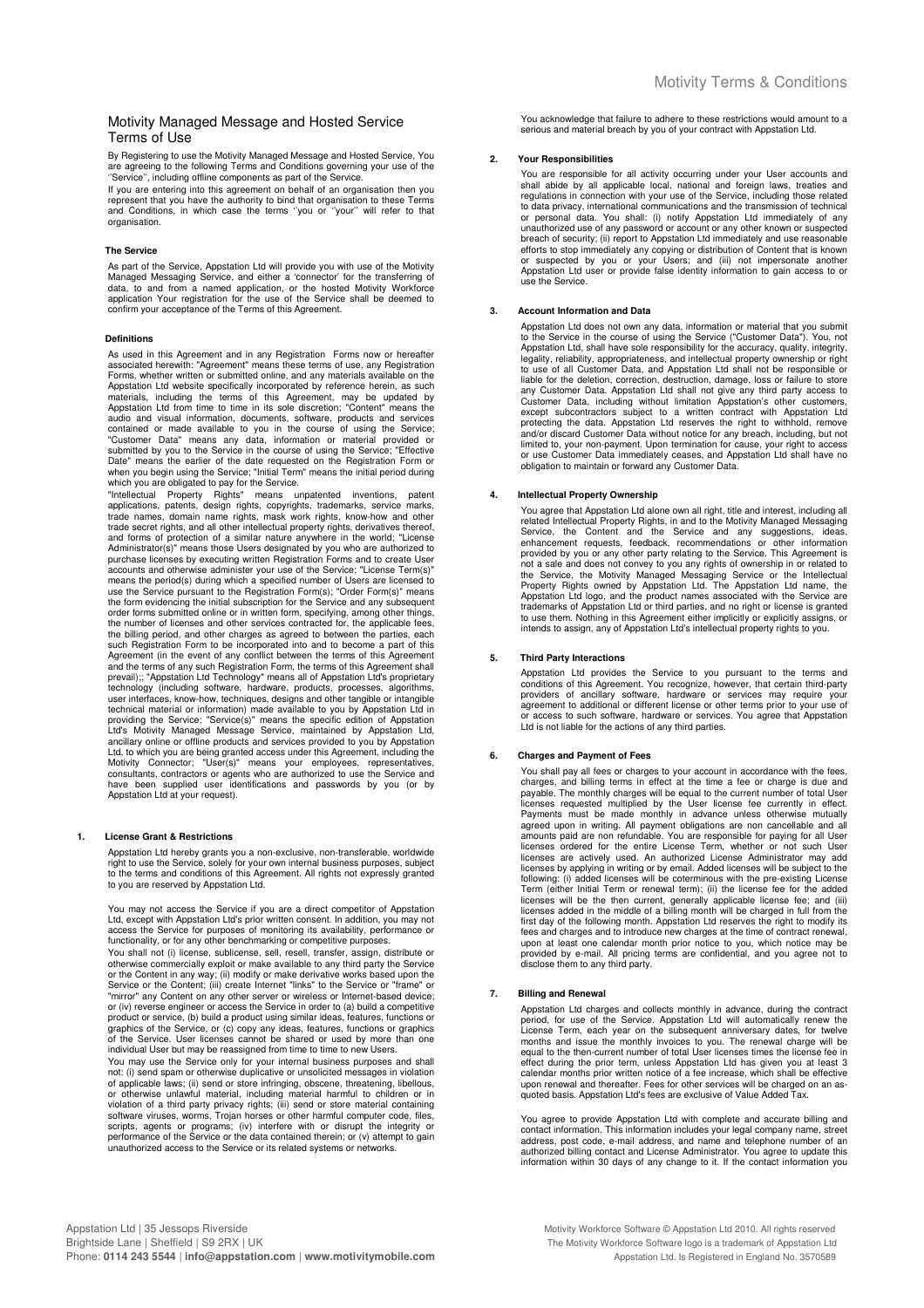# Motivity Managed Message and Hosted Service Terms of Use

By Registering to use the Motivity Managed Message and Hosted Service, You<br>are agreeing to the following Terms and Conditions governing your use of the<br>''Service'', including offline components as part of the Service.

If you are entering into this agreement on behalf of an organisation then you<br>represent that you have the authority to bind that organisation to these Terms<br>and Conditions, in which case the terms "you or "your" will refer organisation.

#### **The Service**

As part of the Service, Appstation Ltd will provide you with use of the Motivity<br>Managed Messaging Service, and either a 'connector' for the transferring of<br>data, to and from a named application, or the hosted Motivity Wor confirm your acceptance of the Terms of this Agreement.

#### **Definitions**

As used in this Agreement and in any Registration Forms now or hereafter Associated herewith: "Agreement" means these terms of use, any Registration<br>Forms, whether written or submitted online, and any materials available on the Forms, whether written or submitted online, and any materials available on the Appstation Ltd website specifically incorporated by reference herein, as such papstation, including the terms of this Agreement, may be updated

which you are obligated to pay for the Service.<br>"Intellectual Property Rights" means unpatented inventions, patent<br>applications, patents, design rights, copyrights, trademarks, service marks,<br>trade names, domain name right and forms of protection of a similar nature anywhere in the world; "License<br>Administrator(s)" means those Users designated by you who are authorized to<br>purchase licenses by executing written Registration Forms and to creat use the Service pursuant to the Registration Form(s); "Order Form(s)" means the form evidencing the initial subscription for the Service and any subsequent order forms submitted online or in written form, specifying, among other things, the number of licenses and other services contracted for, the applicable fees, the billing period, and other charges as agreed to between the parties, each such Registration Form to be incorporated into and to become a part of this Agreement (in the event of any conflict between the terms of this Agreement<br>and the terms of any such Registration Form, the terms of this Agreement shall<br>prevail);; "Appstation Ltd Technology" means all of Appstation Ltd' Ltd, to which you are being granted access under this Agreement, including the Motivity Connector; "User(s)" means your employees, representatives, consultants, contractors or agents who are authorized to use the Service a

#### **1. License Grant & Restrictions**

Appstation Ltd hereby grants you a non-exclusive, non-transferable, worldwide right to use the Service, solely for your own internal business purposes, subject to the terms and conditions of this Agreement. All rights not expressly granted to you are reserved by Appstation Ltd.

You may not access the Service if you are a direct competitor of Appstation Ltd, except with Appstation Ltd's prior written consent. In addition, you may not access the Service for purposes of monitoring its availability, performance or functionality, or for any other benchmarking or competitive purposes.

You shall not (i) license, sublicense, sell, resell, transfer, assign, distribute or otherwise commercially exploit or make available to any third party the Service or the Content in any way; (ii) modify or make derivative works based upon the Service or the Content; (iii) create Internet "links" to the Service or "frame" or "mirror" any Content on any other server or wireless or Internet-based device;<br>or (iv) reverse engineer or access the Service in order to (a) build a competitive<br>product or service, (b) build a product using similar ideas, graphics of the Service, or (c) copy any ideas, features, functions or graphics<br>of the Service. User licenses cannot be shared or used by more than one<br>individual User but may be reassigned from time to time to new Users.

You may use the Service only for your internal business purposes and shall not: (i) send spam or otherwise duplicative or unsolicited messages in violation of applicable laws; (ii) send or store infringing, obscene, threatening, libellous,<br>or otherwise unlawful material, including material harmful to children or in<br>violation of a third party privacy rights; (iii) send or stor scripts, agents or programs; (iv) interfere with or disrupt the integrity or<br>performance of the Service or the data contained therein; or (v) attempt to gain<br>unauthorized access to the Service or its related systems or net You acknowledge that failure to adhere to these restrictions would amount to a serious and material breach by you of your contract with Appstation Ltd.

#### **2. Your Responsibilities**

You are responsible for all activity occurring under your User accounts and shall abide by all applicable local, national and foreign laws, treaties and<br>regulations in connection with your use of the Service, including those related<br>to data privacy, international communications and the transmissio or personal data. You shall: (i) notify Appstation Ltd immediately of any unauthorized use of any password or account or any other known or suspected<br>breach of security; (ii) report to Appstation Ltd immediately and use reasonable<br>efforts to stop immediately any copying or distribution of Conten use the Service.

#### **3. Account Information and Data**

Appstation Ltd does not own any data, information or material that you submit to the Service in the course of using the Service ("Customer Data"). You, not Appstation Ltd, shall have sole responsibility for the accuracy, quality, integrity,<br>legality, reliability, appropriateness, and intellectual property ownership or right<br>to use of all Customer Data, and Appstation Ltd shal any Customer Data. Appstation Ltd shall not give any third party access to<br>Customer Data, including without limitation Appstation's other customers,<br>except subcontractors subject to a written contract with Appstation Ltd<br>p and/or discard Customer Data without notice for any breach, including, but not limited to, your non-payment. Upon termination for cause, your right to access or use Customer Data immediately ceases, and Appstation Ltd shall have no obligation to maintain or forward any Customer Data.

### **4. Intellectual Property Ownership**

You agree that Appstation Ltd alone own all right, title and interest, including all related Intellectual Property Rights, in and to the Motivity Managed Messaging Service, the Content and the Service and any suggestions,

#### **5. Third Party Interactions**

Appstation Ltd provides the Service to you pursuant to the terms and<br>conditions of this Agreement. You recognize, however, that certain third-party<br>providers of ancillary software, hardware or services may require your agreement to additional or different license or other terms prior to your use of or access to such software, hardware or services. You agree that Appstation Ltd is not liable for the actions of any third parties.

# **6. Charges and Payment of Fees**

You shall pay all fees or charges to your account in accordance with the fees, charges, and billing terms in effect at the time a fee or charge is due and payable. The monthly charges will be equal to the current number of total User<br>licenses requested multiplied by the User license fee currently in effect.<br>Payments must be made monthly in advance unless otherwise mutually<br>a amounts paid are non refundable. You are responsible for paying for all User<br>licenses ordered for the entire License Term, whether or not such User<br>licenses are actively used. An authorized License Administrator may add<br>li licenses will be the then current, generally applicable license fee; and (iii) licenses added in the middle of a billing month will be charged in full from the first day of the following month. Appstation Ltd reserves the provided by e-mail. All pricing terms are confidential, and you agree not to disclose them to any third party.

## **7. Billing and Renewal**

Appstation Ltd charges and collects monthly in advance, during the contract<br>period, for use of the Service. Appstation Ltd will automatically renew the<br>License Term, each year on the subsequent anniversary dates, for twelv effect during the prior term, unless Appstation Ltd has given you at least 3 calendar months prior written notice of a fee increase, which shall be effective upon renewal and thereafter. Fees for other services will be charged on an as-quoted basis. Appstation Ltd's fees are exclusive of Value Added Tax.

You agree to provide Appstation Ltd with complete and accurate billing and contact information. This information includes your legal company name, street address, post code, e-mail address, and name and telephone number of an authorized billing contact and License Administrator. You agree to update this information within 30 days of any change to it. If the contact information you